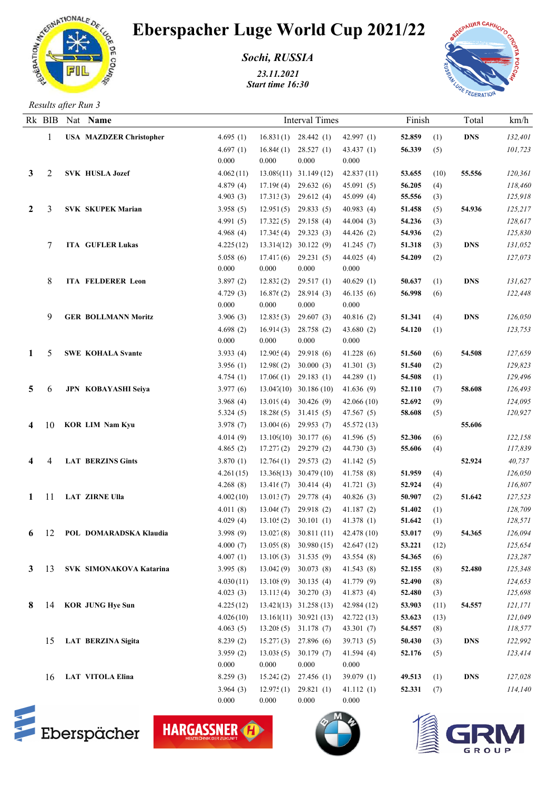

## Eberspacher Luge World Cup 2021/22

*Sochi, RUSSIA*

*23.11.2021 Start time 16:30*



*Results after Run 3*

|                | Rk BIB | Nat Name                       |                      |           | <b>Interval Times</b>                                                          | Finish       |                         |      | Total      | km/h               |
|----------------|--------|--------------------------------|----------------------|-----------|--------------------------------------------------------------------------------|--------------|-------------------------|------|------------|--------------------|
|                | 1      | <b>USA MAZDZER Christopher</b> | 4.695(1)             |           | $16.831(1)$ 28.442 (1)                                                         | 42.997 $(1)$ | 52.859                  | (1)  | <b>DNS</b> | 132,401            |
|                |        |                                | 4.697(1)             | 16.84(1)  | 28.527(1)                                                                      | 43.437(1)    | 56.339                  | (5)  |            | 101,723            |
|                |        |                                | 0.000                | 0.000     | 0.000                                                                          | 0.000        |                         |      |            |                    |
| 3              | 2      | <b>SVK HUSLA Jozef</b>         | 4.062(11)            |           | $13.089(11)$ $31.149(12)$                                                      | 42.837(11)   | 53.655                  | (10) | 55.556     | 120,361            |
|                |        |                                | 4.879(4)             | 17.196(4) | 29.632(6)                                                                      | 45.091(5)    | 56.205                  | (4)  |            | 118,460            |
|                |        |                                | 4.903(3)             | 17.313(3) | 29.612(4)                                                                      | 45.099(4)    | 55.556                  | (3)  |            | 125,918            |
| $\mathbf{2}$   | 3      | <b>SVK SKUPEK Marian</b>       | 3.958(5)             | 12.951(5) | 29.833(5)                                                                      | 40.983(4)    | 51.458                  | (5)  | 54.936     | 125,217            |
|                |        |                                | 4.991(5)             | 17.322(5) | 29.158(4)                                                                      | 44.004(3)    | 54.236                  | (3)  |            | 128,617            |
|                |        |                                | 4.968 $(4)$          | 17.345(4) | 29.323(3)                                                                      | 44.426 (2)   | 54.936                  | (2)  |            | 125,830            |
|                |        | <b>ITA GUFLER Lukas</b>        | 4.225(12)            |           | 13.314(12) 30.122 (9)                                                          | 41.245(7)    | 51.318                  | (3)  | <b>DNS</b> | 131,052            |
|                |        |                                | 5.058(6)             | 17.417(6) | 29.231(5)                                                                      | 44.025 (4)   | 54.209                  | (2)  |            | 127,073            |
|                |        |                                | 0.000                | 0.000     | 0.000                                                                          | 0.000        |                         |      |            |                    |
|                | 8      | ITA FELDERER Leon              | 3.897(2)             | 12.832(2) | 29.517(1)                                                                      | 40.629 $(1)$ | 50.637                  | (1)  | <b>DNS</b> | 131,627            |
|                |        |                                | 4.729(3)             | 16.876(2) | 28.914(3)                                                                      | 46.135(6)    | 56.998                  | (6)  |            | 122,448            |
|                |        |                                | 0.000                | 0.000     | 0.000                                                                          | 0.000        |                         |      |            |                    |
|                | 9      | <b>GER BOLLMANN Moritz</b>     | 3.906(3)             | 12.835(3) | 29.607(3)                                                                      | 40.816(2)    | 51.341                  | (4)  | <b>DNS</b> | 126,050            |
|                |        |                                | 4.698(2)             | 16.914(3) | 28.758 (2)                                                                     | 43.680 (2)   | 54.120                  | (1)  |            | 123,753            |
|                |        |                                | 0.000                | 0.000     | 0.000                                                                          | 0.000        |                         |      |            |                    |
| 1              | 5      | <b>SWE KOHALA Svante</b>       | 3.933(4)             | 12.905(4) | 29.918 (6)                                                                     | 41.228(6)    | 51.560                  | (6)  | 54.508     | 127,659            |
|                |        |                                | 3.956(1)             | 12.98C(2) | 30.000(3)                                                                      | 41.301(3)    | 51.540                  | (2)  |            | 129,823            |
|                |        |                                | 4.754(1)             | 17.060(1) | 29.183(1)                                                                      | 44.289(1)    | 54.508                  | (1)  |            | 129,496            |
| 5              | 6      | JPN KOBAYASHI Seiya            | 3.977(6)             |           | $13.047(10)$ 30.186 (10)                                                       | 41.636(9)    | 52.110                  | (7)  | 58.608     | 126,493            |
|                |        |                                | 3.968 $(4)$          | 13.019(4) | 30.426(9)                                                                      | 42.066(10)   | 52.692                  | (9)  |            | 124,095            |
|                |        |                                | 5.324(5)             |           | 18.286 (5) 31.415 (5)                                                          | 47.567(5)    | 58.608                  | (5)  |            | 120,927            |
| 4              | 10     | <b>KOR LIM Nam Kyu</b>         | 3.978(7)             | 13.004(6) | 29.953(7)                                                                      | 45.572(13)   |                         |      | 55.606     |                    |
|                |        |                                | 4.014(9)             |           | 13.109(10) 30.177 (6)                                                          | 41.596(5)    | 52.306                  | (6)  |            | 122,158            |
|                |        |                                | 4.865(2)             | 17.277(2) | 29.279 (2)                                                                     | 44.730(3)    | 55.606                  | (4)  |            | 117,839            |
| 4              |        | <b>LAT BERZINS Gints</b>       | 3.870(1)             | 12.764(1) | 29.573(2)                                                                      | 41.142(5)    |                         |      | 52.924     | 40,737             |
|                |        |                                | 4.261(15)            |           | 13.368(13) 30.479 (10)                                                         | 41.758(8)    | 51.959                  | (4)  |            | 126,050            |
|                |        |                                | 4.268(8)             | 13.41(7)  | 30.414(4)                                                                      | 41.721(3)    | 52.924                  | (4)  |            | 116,807            |
| 1              | -11    | <b>LAT ZIRNE Ulla</b>          | 4.002(10)            | 13.013(7) | 29.778 (4)                                                                     | 40.826(3)    | 50.907                  | (2)  | 51.642     | 127,523            |
|                |        |                                | 4.011(8)             | 13.046(7) | 29.918 (2)<br>$13.105(2)$ 30.101 (1)                                           | 41.187(2)    | 51.402<br>51.642        | (1)  |            | 128,709<br>128,571 |
|                |        | <b>POL DOMARADSKA Klaudia</b>  | 4.029(4)             |           |                                                                                | 41.378 (1)   | 53.017                  | (1)  | 54.365     |                    |
| 6 <sup>1</sup> | 12     |                                | 3.998(9)<br>4.000(7) |           | $13.027(8)$ $30.811(11)$ $42.478(10)$<br>$13.059(8)$ $30.980(15)$ $42.647(12)$ |              |                         | (9)  |            | 126,094<br>125,654 |
|                |        |                                | 4.007(1)             |           | $13.109(3)$ $31.535(9)$                                                        | 43.554 (8)   | $53.221$ (12)<br>54.365 | (6)  |            | 123,287            |
|                | 3 13   | SVK SIMONAKOVA Katarina        | 3.995(8)             |           | $13.042(9)$ 30.073 (8)                                                         | 41.543(8)    | 52.155                  | (8)  | 52.480     | 125,348            |
|                |        |                                | 4.030(11)            |           | $13.108(9)$ 30.135 (4)                                                         | 41.779(9)    | 52.490                  | (8)  |            | 124,653            |
|                |        |                                | 4.023(3)             |           | $13.113(4)$ $30.270(3)$                                                        | 41.873 (4)   | 52.480                  | (3)  |            | 125,698            |
| 8.             | 14     | <b>KOR JUNG Hye Sun</b>        | 4.225(12)            |           | $13.421(13)$ $31.258(13)$                                                      | 42.984 (12)  | 53.903                  | (11) | 54.557     | 121,171            |
|                |        |                                | 4.026(10)            |           | $13.161(11)$ $30.921(13)$                                                      | 42.722(13)   | 53.623                  | (13) |            | 121,049            |
|                |        |                                | 4.063(5)             |           | $13.208(5)$ 31.178 (7)                                                         | 43.301 $(7)$ | 54.557                  | (8)  |            | 118,577            |
|                | 15     | <b>LAT BERZINA Sigita</b>      | 8.239(2)             |           | $15.277(3)$ 27.896 (6)                                                         | 39.713(5)    | 50.430                  | (3)  | <b>DNS</b> | 122,992            |
|                |        |                                | 3.959(2)             | 13.038(5) | 30.179(7)                                                                      | 41.594(4)    | 52.176                  | (5)  |            | 123,414            |
|                |        |                                | 0.000                | 0.000     | 0.000                                                                          | 0.000        |                         |      |            |                    |
|                | 16     | <b>LAT VITOLA Elina</b>        | 8.259(3)             | 15.242(2) | 27.456 (1)                                                                     | 39.079 $(1)$ | 49.513                  | (1)  | <b>DNS</b> | 127,028            |
|                |        |                                | 3.964(3)             | 12.975(1) | 29.821(1)                                                                      | 41.112(1)    | $52.331$ (7)            |      |            | 114,140            |
|                |        |                                | 0.000                | 0.000     | 0.000                                                                          | 0.000        |                         |      |            |                    |



HARGASSNER